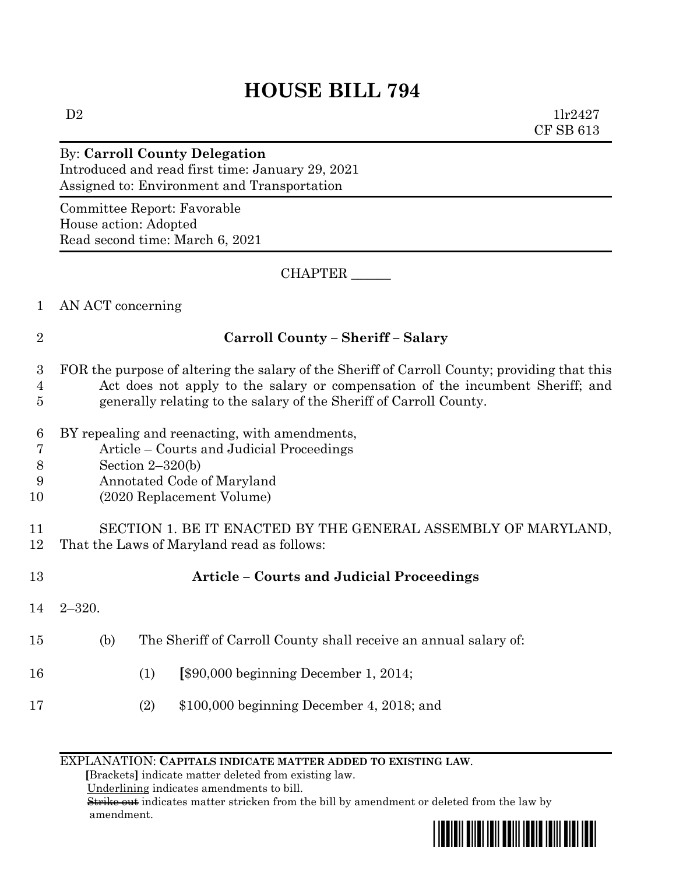## **HOUSE BILL 794**

 $D2$   $11r2427$ CF SB 613

#### By: **Carroll County Delegation** Introduced and read first time: January 29, 2021 Assigned to: Environment and Transportation

Committee Report: Favorable House action: Adopted Read second time: March 6, 2021

CHAPTER \_\_\_\_\_\_

1 AN ACT concerning

### 2 **Carroll County – Sheriff – Salary**

## 3 FOR the purpose of altering the salary of the Sheriff of Carroll County; providing that this 4 Act does not apply to the salary or compensation of the incumbent Sheriff; and

- 5 generally relating to the salary of the Sheriff of Carroll County.
- 6 BY repealing and reenacting, with amendments,
- 7 Article Courts and Judicial Proceedings
- 8 Section 2–320(b)
- 9 Annotated Code of Maryland
- 10 (2020 Replacement Volume)

11 SECTION 1. BE IT ENACTED BY THE GENERAL ASSEMBLY OF MARYLAND, 12 That the Laws of Maryland read as follows:

14 2–320.

# 13 **Article – Courts and Judicial Proceedings**

- 15 (b) The Sheriff of Carroll County shall receive an annual salary of:
- 16 (1) **[**\$90,000 beginning December 1, 2014;
- 17 (2) \$100,000 beginning December 4, 2018; and

#### EXPLANATION: **CAPITALS INDICATE MATTER ADDED TO EXISTING LAW**.

 **[**Brackets**]** indicate matter deleted from existing law.

Underlining indicates amendments to bill.

 Strike out indicates matter stricken from the bill by amendment or deleted from the law by amendment.